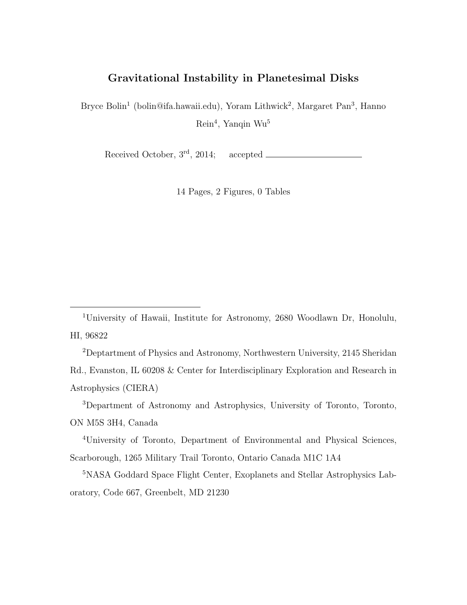# Gravitational Instability in Planetesimal Disks

Bryce Bolin<sup>1</sup> (bolin@ifa.hawaii.edu), Yoram Lithwick<sup>2</sup>, Margaret Pan<sup>3</sup>, Hanno Rein<sup>4</sup> , Yanqin Wu<sup>5</sup>

Received October, 3rd, 2014; accepted

14 Pages, 2 Figures, 0 Tables

<sup>1</sup>University of Hawaii, Institute for Astronomy, 2680 Woodlawn Dr, Honolulu, HI, 96822

<sup>2</sup>Deptartment of Physics and Astronomy, Northwestern University, 2145 Sheridan Rd., Evanston, IL 60208 & Center for Interdisciplinary Exploration and Research in Astrophysics (CIERA)

<sup>3</sup>Department of Astronomy and Astrophysics, University of Toronto, Toronto, ON M5S 3H4, Canada

<sup>4</sup>University of Toronto, Department of Environmental and Physical Sciences, Scarborough, 1265 Military Trail Toronto, Ontario Canada M1C 1A4

<sup>5</sup>NASA Goddard Space Flight Center, Exoplanets and Stellar Astrophysics Laboratory, Code 667, Greenbelt, MD 21230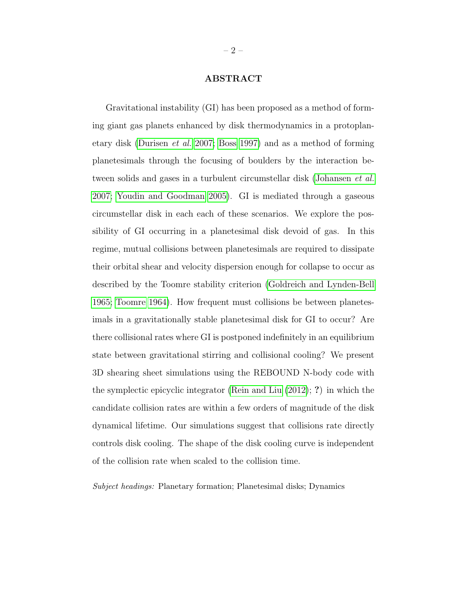#### ABSTRACT

Gravitational instability (GI) has been proposed as a method of forming giant gas planets enhanced by disk thermodynamics in a protoplanetary disk [\(Durisen](#page-9-0) et al. [2007;](#page-9-0) [Boss 1997\)](#page-8-0) and as a method of forming planetesimals through the focusing of boulders by the interaction between solids and gases in a turbulent circumstellar disk [\(Johansen](#page-10-0) et al. [2007;](#page-10-0) [Youdin and Goodman 2005\)](#page-11-0). GI is mediated through a gaseous circumstellar disk in each each of these scenarios. We explore the possibility of GI occurring in a planetesimal disk devoid of gas. In this regime, mutual collisions between planetesimals are required to dissipate their orbital shear and velocity dispersion enough for collapse to occur as described by the Toomre stability criterion [\(Goldreich and Lynden-Bell](#page-9-1) [1965;](#page-9-1) [Toomre 1964\)](#page-11-1). How frequent must collisions be between planetesimals in a gravitationally stable planetesimal disk for GI to occur? Are there collisional rates where GI is postponed indefinitely in an equilibrium state between gravitational stirring and collisional cooling? We present 3D shearing sheet simulations using the REBOUND N-body code with the symplectic epicyclic integrator [\(Rein and Liu](#page-10-1) [\(2012\)](#page-10-1); ?) in which the candidate collision rates are within a few orders of magnitude of the disk dynamical lifetime. Our simulations suggest that collisions rate directly controls disk cooling. The shape of the disk cooling curve is independent of the collision rate when scaled to the collision time.

Subject headings: Planetary formation; Planetesimal disks; Dynamics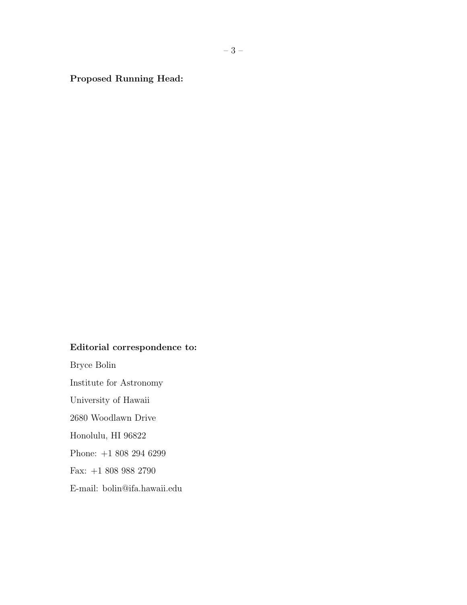Proposed Running Head:

# Editorial correspondence to:

Bryce Bolin Institute for Astronomy University of Hawaii 2680 Woodlawn Drive Honolulu, HI 96822 Phone: +1 808 294 6299 Fax: +1 808 988 2790

E-mail: bolin@ifa.hawaii.edu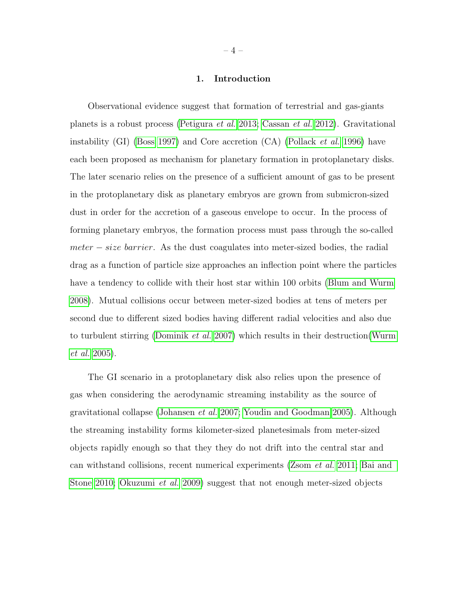### 1. Introduction

Observational evidence suggest that formation of terrestrial and gas-giants planets is a robust process [\(Petigura](#page-10-2) et al. [2013;](#page-10-2) [Cassan](#page-8-1) et al. [2012\)](#page-8-1). Gravitational instability (GI) [\(Boss 1997\)](#page-8-0) and Core accretion  $(CA)$  [\(Pollack](#page-10-3) *et al.* [1996\)](#page-10-3) have each been proposed as mechanism for planetary formation in protoplanetary disks. The later scenario relies on the presence of a sufficient amount of gas to be present in the protoplanetary disk as planetary embryos are grown from submicron-sized dust in order for the accretion of a gaseous envelope to occur. In the process of forming planetary embryos, the formation process must pass through the so-called  $meter - size \ barrier$ . As the dust coagulates into meter-sized bodies, the radial drag as a function of particle size approaches an inflection point where the particles have a tendency to collide with their host star within 100 orbits [\(Blum and Wurm](#page-8-2) [2008\)](#page-8-2). Mutual collisions occur between meter-sized bodies at tens of meters per second due to different sized bodies having different radial velocities and also due to turbulent stirring [\(Dominik](#page-9-2) et al. [2007\)](#page-9-2) which results in their destruction[\(Wurm](#page-11-2) [et al.](#page-11-2) [2005\)](#page-11-2).

The GI scenario in a protoplanetary disk also relies upon the presence of gas when considering the aerodynamic streaming instability as the source of gravitational collapse [\(Johansen](#page-10-0) et al. [2007;](#page-10-0) [Youdin and Goodman 2005\)](#page-11-0). Although the streaming instability forms kilometer-sized planetesimals from meter-sized objects rapidly enough so that they they do not drift into the central star and can withstand collisions, recent numerical experiments [\(Zsom](#page-11-3) et al. [2011;](#page-11-3) [Bai and](#page-8-3) [Stone 2010;](#page-8-3) [Okuzumi](#page-10-4) et al. [2009\)](#page-10-4) suggest that not enough meter-sized objects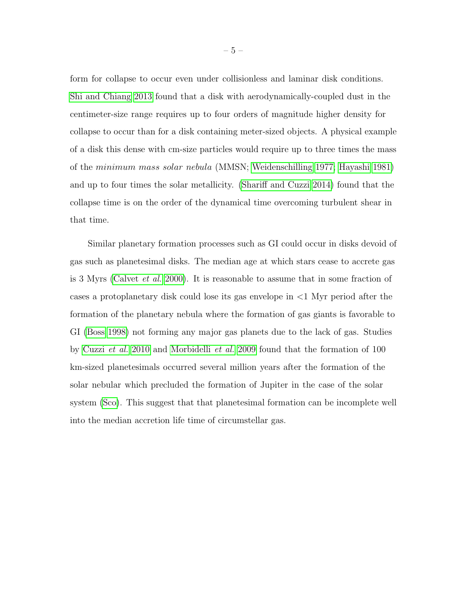form for collapse to occur even under collisionless and laminar disk conditions. [Shi and Chiang 2013](#page-11-4) found that a disk with aerodynamically-coupled dust in the centimeter-size range requires up to four orders of magnitude higher density for collapse to occur than for a disk containing meter-sized objects. A physical example of a disk this dense with cm-size particles would require up to three times the mass of the minimum mass solar nebula (MMSN; [Weidenschilling 1977;](#page-11-5) [Hayashi 1981\)](#page-9-3) and up to four times the solar metallicity. [\(Shariff and Cuzzi 2014\)](#page-11-6) found that the collapse time is on the order of the dynamical time overcoming turbulent shear in that time.

Similar planetary formation processes such as GI could occur in disks devoid of gas such as planetesimal disks. The median age at which stars cease to accrete gas is 3 Myrs [\(Calvet](#page-8-4) et al. [2000\)](#page-8-4). It is reasonable to assume that in some fraction of cases a protoplanetary disk could lose its gas envelope in <1 Myr period after the formation of the planetary nebula where the formation of gas giants is favorable to GI [\(Boss 1998\)](#page-8-5) not forming any major gas planets due to the lack of gas. Studies by [Cuzzi](#page-9-4) et al. [2010](#page-9-4) and [Morbidelli](#page-10-5) et al. [2009](#page-10-5) found that the formation of 100 km-sized planetesimals occurred several million years after the formation of the solar nebular which precluded the formation of Jupiter in the case of the solar system [\(Sco\)](#page-8-6). This suggest that that planetesimal formation can be incomplete well into the median accretion life time of circumstellar gas.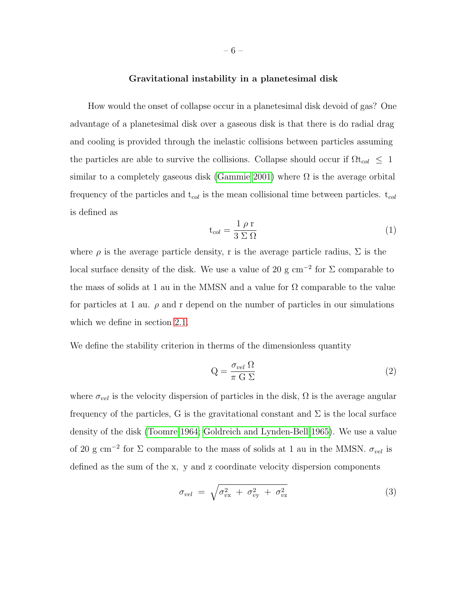## Gravitational instability in a planetesimal disk

How would the onset of collapse occur in a planetesimal disk devoid of gas? One advantage of a planetesimal disk over a gaseous disk is that there is do radial drag and cooling is provided through the inelastic collisions between particles assuming the particles are able to survive the collisions. Collapse should occur if  $\Omega t_{col} \leq 1$ similar to a completely gaseous disk [\(Gammie 2001\)](#page-9-5) where  $\Omega$  is the average orbital frequency of the particles and  $t_{col}$  is the mean collisional time between particles.  $t_{col}$ is defined as

$$
\mathbf{t}_{col} = \frac{1 \rho \mathbf{r}}{3 \Sigma \Omega} \tag{1}
$$

where  $\rho$  is the average particle density, r is the average particle radius,  $\Sigma$  is the local surface density of the disk. We use a value of 20 g cm<sup>-2</sup> for  $\Sigma$  comparable to the mass of solids at 1 au in the MMSN and a value for  $\Omega$  comparable to the value for particles at 1 au.  $\rho$  and r depend on the number of particles in our simulations which we define in section [2.1.](#page-7-0)

We define the stability criterion in therms of the dimensionless quantity

$$
Q = \frac{\sigma_{vel} \Omega}{\pi G \Sigma} \tag{2}
$$

where  $\sigma_{vel}$  is the velocity dispersion of particles in the disk,  $\Omega$  is the average angular frequency of the particles, G is the gravitational constant and  $\Sigma$  is the local surface density of the disk [\(Toomre 1964;](#page-11-1) [Goldreich and Lynden-Bell 1965\)](#page-9-1). We use a value of 20 g cm<sup>-2</sup> for  $\Sigma$  comparable to the mass of solids at 1 au in the MMSN.  $\sigma_{vel}$  is defined as the sum of the x, y and z coordinate velocity dispersion components

$$
\sigma_{vel} = \sqrt{\sigma_{vx}^2 + \sigma_{vy}^2 + \sigma_{vz}^2}
$$
 (3)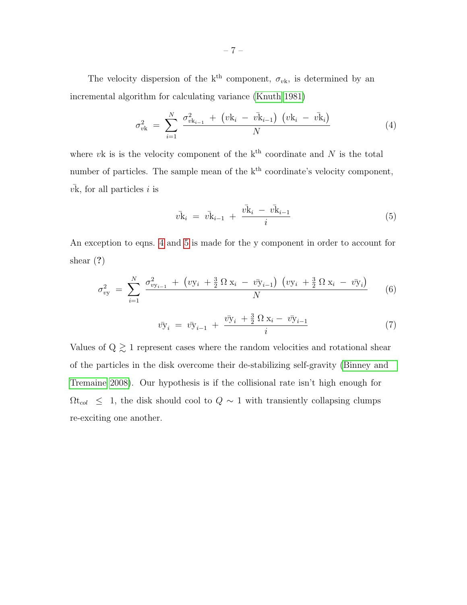The velocity dispersion of the k<sup>th</sup> component,  $\sigma_{v\mathbf{k}}$ , is determined by an incremental algorithm for calculating variance [\(Knuth 1981\)](#page-10-6)

<span id="page-6-0"></span>
$$
\sigma_{vk}^2 = \sum_{i=1}^{N} \frac{\sigma_{vk_{i-1}}^2 + (vk_i - v\bar{k}_{i-1}) (vk_i - v\bar{k}_i)}{N}
$$
(4)

where vk is is the velocity component of the  $k<sup>th</sup>$  coordinate and N is the total number of particles. The sample mean of the  $k<sup>th</sup>$  coordinate's velocity component,  $v\bar{k}$ , for all particles i is

<span id="page-6-1"></span>
$$
\bar{vk}_i = \bar{vk}_{i-1} + \frac{\bar{vk}_i - \bar{vk}_{i-1}}{i}
$$
\n(5)

An exception to eqns. [4](#page-6-0) and [5](#page-6-1) is made for the y component in order to account for shear (?)

$$
\sigma_{vy}^2 = \sum_{i=1}^N \frac{\sigma_{vy_{i-1}}^2 + (vy_i + \frac{3}{2} \Omega x_i - v\bar{y}_{i-1}) (vy_i + \frac{3}{2} \Omega x_i - v\bar{y}_i)}{N}
$$
(6)

$$
\bar{v}y_i = \bar{v}y_{i-1} + \frac{\bar{v}y_i + \frac{3}{2}\Omega x_i - \bar{v}y_{i-1}}{i}
$$
\n(7)

Values of Q  $\gtrsim$  1 represent cases where the random velocities and rotational shear of the particles in the disk overcome their de-stabilizing self-gravity [\(Binney and](#page-8-7) [Tremaine 2008\)](#page-8-7). Our hypothesis is if the collisional rate isn't high enough for  $\Omega t_{col}$  ≤ 1, the disk should cool to  $Q \sim 1$  with transiently collapsing clumps re-exciting one another.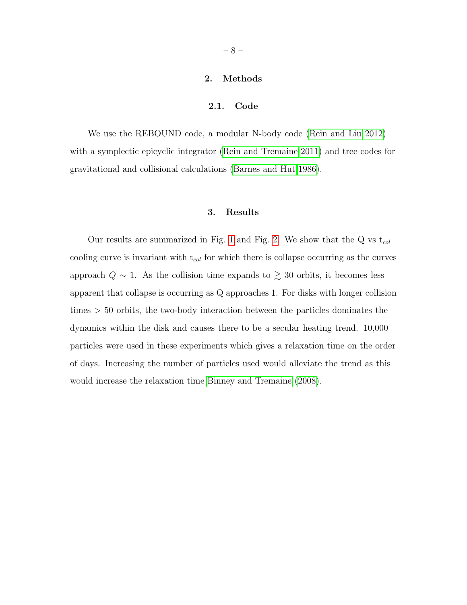# 2. Methods

# 2.1. Code

<span id="page-7-0"></span>We use the REBOUND code, a modular N-body code [\(Rein and Liu 2012\)](#page-10-1) with a symplectic epicyclic integrator [\(Rein and Tremaine 2011\)](#page-10-7) and tree codes for gravitational and collisional calculations [\(Barnes and Hut 1986\)](#page-8-8).

### 3. Results

Our results are summarized in Fig. [1](#page-12-0) and Fig. [2.](#page-13-0) We show that the Q vs  $t_{col}$ cooling curve is invariant with  $t_{col}$  for which there is collapse occurring as the curves approach  $Q \sim 1$ . As the collision time expands to  $\geq 30$  orbits, it becomes less apparent that collapse is occurring as Q approaches 1. For disks with longer collision times > 50 orbits, the two-body interaction between the particles dominates the dynamics within the disk and causes there to be a secular heating trend. 10,000 particles were used in these experiments which gives a relaxation time on the order of days. Increasing the number of particles used would alleviate the trend as this would increase the relaxation time [Binney and Tremaine](#page-8-7) [\(2008\)](#page-8-7).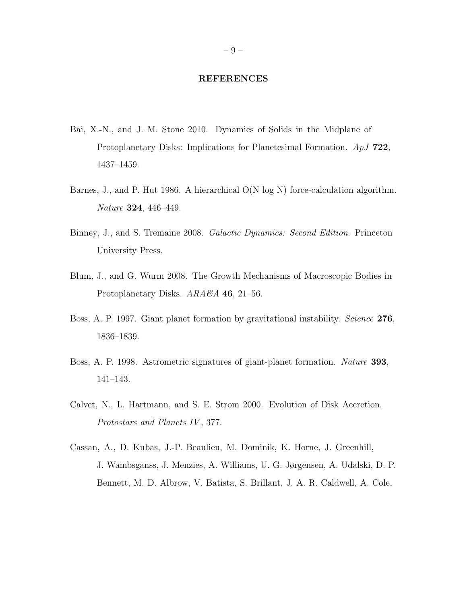#### REFERENCES

- <span id="page-8-6"></span><span id="page-8-3"></span>Bai, X.-N., and J. M. Stone 2010. Dynamics of Solids in the Midplane of Protoplanetary Disks: Implications for Planetesimal Formation. ApJ 722, 1437–1459.
- <span id="page-8-8"></span>Barnes, J., and P. Hut 1986. A hierarchical O(N log N) force-calculation algorithm. Nature 324, 446–449.
- <span id="page-8-7"></span>Binney, J., and S. Tremaine 2008. Galactic Dynamics: Second Edition. Princeton University Press.
- <span id="page-8-2"></span>Blum, J., and G. Wurm 2008. The Growth Mechanisms of Macroscopic Bodies in Protoplanetary Disks. ARA&A 46, 21-56.
- <span id="page-8-0"></span>Boss, A. P. 1997. Giant planet formation by gravitational instability. Science 276, 1836–1839.
- <span id="page-8-5"></span>Boss, A. P. 1998. Astrometric signatures of giant-planet formation. Nature 393, 141–143.
- <span id="page-8-4"></span>Calvet, N., L. Hartmann, and S. E. Strom 2000. Evolution of Disk Accretion. Protostars and Planets IV, 377.
- <span id="page-8-1"></span>Cassan, A., D. Kubas, J.-P. Beaulieu, M. Dominik, K. Horne, J. Greenhill, J. Wambsganss, J. Menzies, A. Williams, U. G. Jørgensen, A. Udalski, D. P. Bennett, M. D. Albrow, V. Batista, S. Brillant, J. A. R. Caldwell, A. Cole,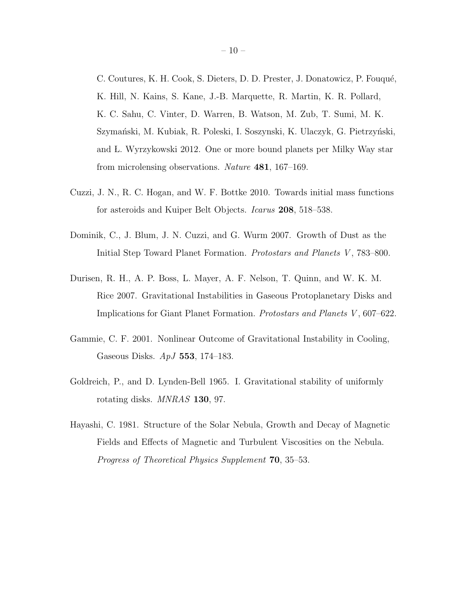C. Coutures, K. H. Cook, S. Dieters, D. D. Prester, J. Donatowicz, P. Fouqué, K. Hill, N. Kains, S. Kane, J.-B. Marquette, R. Martin, K. R. Pollard, K. C. Sahu, C. Vinter, D. Warren, B. Watson, M. Zub, T. Sumi, M. K. Szymański, M. Kubiak, R. Poleski, I. Soszynski, K. Ulaczyk, G. Pietrzyński, and L. Wyrzykowski 2012. One or more bound planets per Milky Way star from microlensing observations. Nature 481, 167–169.

- <span id="page-9-4"></span>Cuzzi, J. N., R. C. Hogan, and W. F. Bottke 2010. Towards initial mass functions for asteroids and Kuiper Belt Objects. Icarus 208, 518–538.
- <span id="page-9-2"></span>Dominik, C., J. Blum, J. N. Cuzzi, and G. Wurm 2007. Growth of Dust as the Initial Step Toward Planet Formation. Protostars and Planets V , 783–800.
- <span id="page-9-0"></span>Durisen, R. H., A. P. Boss, L. Mayer, A. F. Nelson, T. Quinn, and W. K. M. Rice 2007. Gravitational Instabilities in Gaseous Protoplanetary Disks and Implications for Giant Planet Formation. Protostars and Planets V, 607–622.
- <span id="page-9-5"></span>Gammie, C. F. 2001. Nonlinear Outcome of Gravitational Instability in Cooling, Gaseous Disks. ApJ 553, 174–183.
- <span id="page-9-1"></span>Goldreich, P., and D. Lynden-Bell 1965. I. Gravitational stability of uniformly rotating disks. MNRAS 130, 97.
- <span id="page-9-3"></span>Hayashi, C. 1981. Structure of the Solar Nebula, Growth and Decay of Magnetic Fields and Effects of Magnetic and Turbulent Viscosities on the Nebula. Progress of Theoretical Physics Supplement 70, 35–53.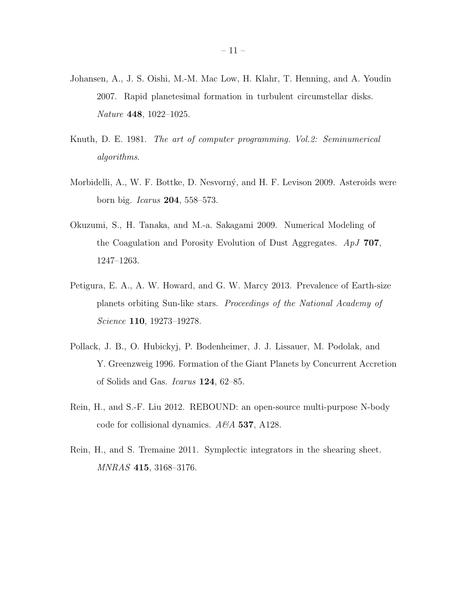- <span id="page-10-0"></span>Johansen, A., J. S. Oishi, M.-M. Mac Low, H. Klahr, T. Henning, and A. Youdin 2007. Rapid planetesimal formation in turbulent circumstellar disks. Nature 448, 1022–1025.
- <span id="page-10-6"></span>Knuth, D. E. 1981. The art of computer programming. Vol.2: Seminumerical algorithms.
- <span id="page-10-5"></span>Morbidelli, A., W. F. Bottke, D. Nesvorný, and H. F. Levison 2009. Asteroids were born big. Icarus 204, 558–573.
- <span id="page-10-4"></span>Okuzumi, S., H. Tanaka, and M.-a. Sakagami 2009. Numerical Modeling of the Coagulation and Porosity Evolution of Dust Aggregates. ApJ 707, 1247–1263.
- <span id="page-10-2"></span>Petigura, E. A., A. W. Howard, and G. W. Marcy 2013. Prevalence of Earth-size planets orbiting Sun-like stars. Proceedings of the National Academy of Science 110, 19273–19278.
- <span id="page-10-3"></span>Pollack, J. B., O. Hubickyj, P. Bodenheimer, J. J. Lissauer, M. Podolak, and Y. Greenzweig 1996. Formation of the Giant Planets by Concurrent Accretion of Solids and Gas. Icarus 124, 62–85.
- <span id="page-10-1"></span>Rein, H., and S.-F. Liu 2012. REBOUND: an open-source multi-purpose N-body code for collisional dynamics.  $A\mathcal{B}A$  537, A128.
- <span id="page-10-7"></span>Rein, H., and S. Tremaine 2011. Symplectic integrators in the shearing sheet. MNRAS 415, 3168–3176.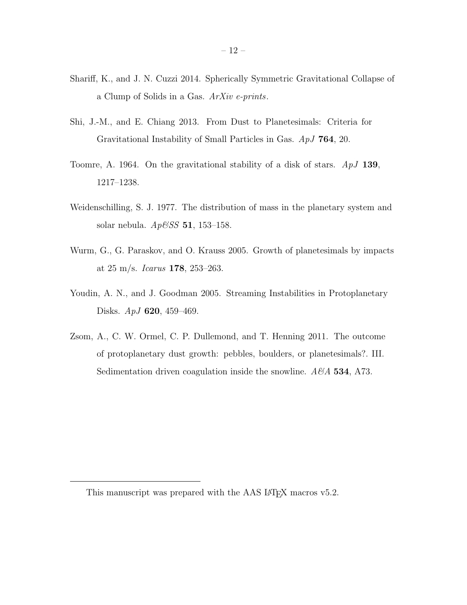- <span id="page-11-6"></span>Shariff, K., and J. N. Cuzzi 2014. Spherically Symmetric Gravitational Collapse of a Clump of Solids in a Gas. ArXiv e-prints.
- <span id="page-11-4"></span>Shi, J.-M., and E. Chiang 2013. From Dust to Planetesimals: Criteria for Gravitational Instability of Small Particles in Gas. ApJ 764, 20.
- <span id="page-11-1"></span>Toomre, A. 1964. On the gravitational stability of a disk of stars.  $ApJ$  139, 1217–1238.
- <span id="page-11-5"></span>Weidenschilling, S. J. 1977. The distribution of mass in the planetary system and solar nebula.  $Ap{\&}SS$  51, 153-158.
- <span id="page-11-2"></span>Wurm, G., G. Paraskov, and O. Krauss 2005. Growth of planetesimals by impacts at 25 m/s. Icarus 178, 253–263.
- <span id="page-11-0"></span>Youdin, A. N., and J. Goodman 2005. Streaming Instabilities in Protoplanetary Disks. ApJ 620, 459–469.
- <span id="page-11-3"></span>Zsom, A., C. W. Ormel, C. P. Dullemond, and T. Henning 2011. The outcome of protoplanetary dust growth: pebbles, boulders, or planetesimals?. III. Sedimentation driven coagulation inside the snowline.  $A\mathscr{B}A$  534, A73.

This manuscript was prepared with the AAS IAT<sub>EX</sub> macros v5.2.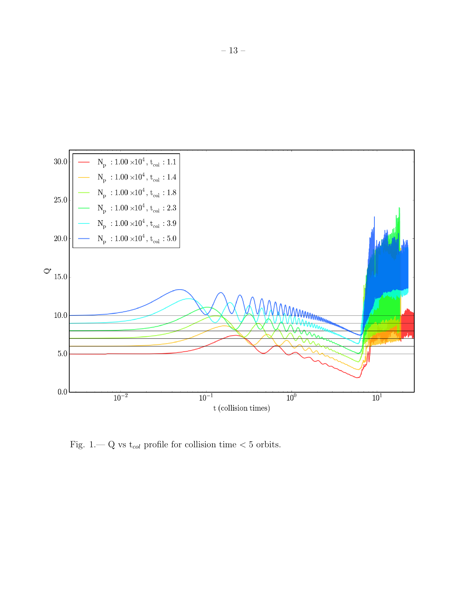

<span id="page-12-0"></span>Fig. 1.— Q vs  $t_{col}$  profile for collision time  $<$  5 orbits.